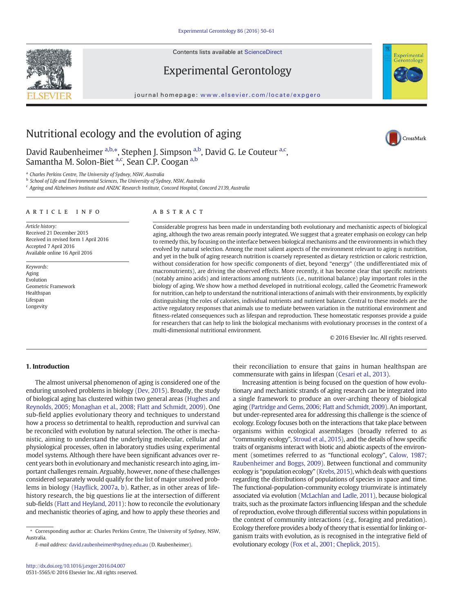Contents lists available at ScienceDirect

# Experimental Gerontology

journal homepage: www.elsevier.com/locate/expgero



CrossMark

# Nutritional ecology and the evolution of aging

David Raubenheimer a,b,\*, Stephen J. Simpson a,b, David G. Le Couteur a,c, Samantha M. Solon-Biet <sup>a,c</sup>, Sean C.P. Coogan <sup>a,b</sup>

a *Charles Perkins Centre, The University of Sydney, NSW, Australia*

b *School of Life and Environmental Sciences, The University of Sydney, NSW, Australia*

c *Ageing and Alzheimers Institute and ANZAC Research Institute, Concord Hospital, Concord 2139, Australia*

#### article info abstract

*Article history:* Received 21 December 2015 Received in revised form 1 April 2016 Accepted 7 April 2016 Available online 16 April 2016

*Keywords:* Aging Evolution Geometric Framework Healthspan Lifespan Longevity

Considerable progress has been made in understanding both evolutionary and mechanistic aspects of biological aging, although the two areas remain poorly integrated. We suggest that a greater emphasis on ecology can help to remedy this, by focusing on the interface between biological mechanisms and the environments in which they evolved by natural selection. Among the most salient aspects of the environment relevant to aging is nutrition, and yet in the bulk of aging research nutrition is coarsely represented as dietary restriction or caloric restriction, without consideration for how specific components of diet, beyond "energy" (the undifferentiated mix of macronutrients), are driving the observed effects. More recently, it has become clear that specific nutrients (notably amino acids) and interactions among nutrients (i.e., nutritional balance) play important roles in the biology of aging. We show how a method developed in nutritional ecology, called the Geometric Framework for nutrition, can help to understand the nutritional interactions of animals with their environments, by explicitly distinguishing the roles of calories, individual nutrients and nutrient balance. Central to these models are the active regulatory responses that animals use to mediate between variation in the nutritional environment and fitness-related consequences such as lifespan and reproduction. These homeostatic responses provide a guide for researchers that can help to link the biological mechanisms with evolutionary processes in the context of a multi-dimensional nutritional environment.

© 2016 Elsevier Inc. All rights reserved.

# 1. Introduction

The almost universal phenomenon of aging is considered one of the enduring unsolved problems in biology (Dev, 2015). Broadly, the study of biological aging has clustered within two general areas (Hughes and Reynolds, 2005; Monaghan et al., 2008; Flatt and Schmidt, 2009). One sub-field applies evolutionary theory and techniques to understand how a process so detrimental to health, reproduction and survival can be reconciled with evolution by natural selection. The other is mechanistic, aiming to understand the underlying molecular, cellular and physiological processes, often in laboratory studies using experimental model systems. Although there have been significant advances over recent years both in evolutionary and mechanistic research into aging, important challenges remain. Arguably, however, none of these challenges considered separately would qualify for the list of major unsolved problems in biology (Hayflick, 2007a, b). Rather, as in other areas of lifehistory research, the big questions lie at the intersection of different sub-fields (Flatt and Heyland, 2011): how to reconcile the evolutionary and mechanistic theories of aging, and how to apply these theories and

*E-mail address:* david.raubenheimer@sydney.edu.au (D. Raubenheimer).

their reconciliation to ensure that gains in human healthspan are commensurate with gains in lifespan (Cesari et al., 2013).

Increasing attention is being focused on the question of how evolutionary and mechanistic strands of aging research can be integrated into a single framework to produce an over-arching theory of biological aging (Partridge and Gems, 2006; Flatt and Schmidt, 2009). An important, but under-represented area for addressing this challenge is the science of ecology. Ecology focuses both on the interactions that take place between organisms within ecological assemblages (broadly referred to as "community ecology", Stroud et al., 2015), and the details of how specific traits of organisms interact with biotic and abiotic aspects of the environment (sometimes referred to as "functional ecology", Calow, 1987; Raubenheimer and Boggs, 2009). Between functional and community ecology is "population ecology" (Krebs, 2015), which deals with questions regarding the distributions of populations of species in space and time. The functional-population-community ecology triumvirate is intimately associated via evolution (McLachlan and Ladle, 2011), because biological traits, such as the proximate factors influencing lifespan and the schedule of reproduction, evolve through differential success within populations in the context of community interactions (e.g., foraging and predation). Ecology therefore provides a body of theory that is essential for linking organism traits with evolution, as is recognised in the integrative field of evolutionary ecology (Fox et al., 2001; Cheplick, 2015).



<sup>⁎</sup> Corresponding author at: Charles Perkins Centre, The University of Sydney, NSW, Australia.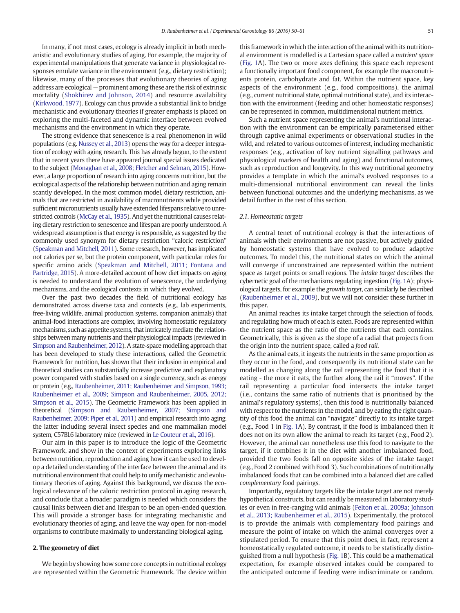In many, if not most cases, ecology is already implicit in both mechanistic and evolutionary studies of aging. For example, the majority of experimental manipulations that generate variance in physiological responses emulate variance in the environment (e.g., dietary restriction); likewise, many of the processes that evolutionary theories of aging address are ecological — prominent among these are the risk of extrinsic mortality (Shokhirev and Johnson, 2014) and resource availability (Kirkwood, 1977). Ecology can thus provide a substantial link to bridge mechanistic and evolutionary theories if greater emphasis is placed on exploring the multi-faceted and dynamic interface between evolved mechanisms and the environment in which they operate.

The strong evidence that senescence is a real phenomenon in wild populations (e.g. Nussey et al., 2013) opens the way for a deeper integration of ecology with aging research. This has already begun, to the extent that in recent years there have appeared journal special issues dedicated to the subject (Monaghan et al., 2008; Fletcher and Selman, 2015). However, a large proportion of research into aging concerns nutrition, but the ecological aspects of the relationship between nutrition and aging remain scantly developed. In the most common model, dietary restriction, animals that are restricted in availability of macronutrients while provided sufficient micronutrients usually have extended lifespans relative to unrestricted controls (McCay et al., 1935). And yet the nutritional causes relating dietary restriction to senescence and lifespan are poorly understood. A widespread assumption is that energy is responsible, as suggested by the commonly used synonym for dietary restriction "caloric restriction" (Speakman and Mitchell, 2011). Some research, however, has implicated not calories per se, but the protein component, with particular roles for specific amino acids (Speakman and Mitchell, 2011; Fontana and Partridge, 2015). A more-detailed account of how diet impacts on aging is needed to understand the evolution of senescence, the underlying mechanisms, and the ecological contexts in which they evolved.

Over the past two decades the field of nutritional ecology has demonstrated across diverse taxa and contexts (e.g., lab experiments, free-living wildlife, animal production systems, companion animals) that animal-food interactions are complex, involving homeostatic regulatory mechanisms, such as appetite systems, that intricately mediate the relationships between many nutrients and their physiological impacts (reviewed in Simpson and Raubenheimer, 2012). A state-space modelling approach that has been developed to study these interactions, called the Geometric Framework for nutrition, has shown that their inclusion in empirical and theoretical studies can substantially increase predictive and explanatory power compared with studies based on a single currency, such as energy or protein (e.g., Raubenheimer, 2011; Raubenheimer and Simpson, 1993; Raubenheimer et al., 2009; Simpson and Raubenheimer, 2005, 2012; Simpson et al., 2015). The Geometric Framework has been applied in theoretical (Simpson and Raubenheimer, 2007; Simpson and Raubenheimer, 2009; Piper et al., 2011) and empirical research into aging, the latter including several insect species and one mammalian model system, C57BL6 laboratory mice (reviewed in Le Couteur et al., 2016).

Our aim in this paper is to introduce the logic of the Geometric Framework, and show in the context of experiments exploring links between nutrition, reproduction and aging how it can be used to develop a detailed understanding of the interface between the animal and its nutritional environment that could help to unify mechanistic and evolutionary theories of aging. Against this background, we discuss the ecological relevance of the caloric restriction protocol in aging research, and conclude that a broader paradigm is needed which considers the causal links between diet and lifespan to be an open-ended question. This will provide a stronger basis for integrating mechanistic and evolutionary theories of aging, and leave the way open for non-model organisms to contribute maximally to understanding biological aging.

# 2. The geometry of diet

We begin by showing how some core concepts in nutritional ecology are represented within the Geometric Framework. The device within this framework in which the interaction of the animal with its nutritional environment is modelled is a Cartesian space called a *nutrient space* (Fig. 1A). The two or more axes defining this space each represent a functionally important food component, for example the macronutrients protein, carbohydrate and fat. Within the nutrient space, key aspects of the environment (e.g., food compositions), the animal (e.g., current nutritional state, optimal nutritional state), and its interaction with the environment (feeding and other homeostatic responses) can be represented in common, multidimensional nutrient metrics.

Such a nutrient space representing the animal's nutritional interaction with the environment can be empirically parameterised either through captive animal experiments or observational studies in the wild, and related to various outcomes of interest, including mechanistic responses (e.g., activation of key nutrient signalling pathways and physiological markers of health and aging) and functional outcomes, such as reproduction and longevity. In this way nutritional geometry provides a template in which the animal's evolved responses to a multi-dimensional nutritional environment can reveal the links between functional outcomes and the underlying mechanisms, as we detail further in the rest of this section.

# *2.1. Homeostatic targets*

A central tenet of nutritional ecology is that the interactions of animals with their environments are not passive, but actively guided by homeostatic systems that have evolved to produce adaptive outcomes. To model this, the nutritional states on which the animal will converge if unconstrained are represented within the nutrient space as target points or small regions. The *intake target* describes the cybernetic goal of the mechanisms regulating ingestion (Fig. 1A); physiological targets, for example the *growth target*, can similarly be described (Raubenheimer et al., 2009), but we will not consider these further in this paper.

An animal reaches its intake target through the selection of foods, and regulating how much of each is eaten. Foods are represented within the nutrient space as the ratio of the nutrients that each contains. Geometrically, this is given as the slope of a radial that projects from the origin into the nutrient space, called a *food rail*.

As the animal eats, it ingests the nutrients in the same proportion as they occur in the food, and consequently its nutritional state can be modelled as changing along the rail representing the food that it is eating ‐ the more it eats, the further along the rail it "moves". If the rail representing a particular food intersects the intake target (i.e., contains the same ratio of nutrients that is prioritised by the animal's regulatory systems), then this food is nutritionally balanced with respect to the nutrients in the model, and by eating the right quantity of this food the animal can "navigate" directly to its intake target (e.g., Food 1 in Fig. 1A). By contrast, if the food is imbalanced then it does not on its own allow the animal to reach its target (e.g., Food 2). However, the animal can nonetheless use this food to navigate to the target, if it combines it in the diet with another imbalanced food, provided the two foods fall on opposite sides of the intake target (e.g., Food 2 combined with Food 3). Such combinations of nutritionally imbalanced foods that can be combined into a balanced diet are called *complementary* food pairings.

Importantly, regulatory targets like the intake target are not merely hypothetical constructs, but can readily be measured in laboratory studies or even in free-ranging wild animals (Felton et al., 2009a; Johnson et al., 2013; Raubenheimer et al., 2015). Experimentally, the protocol is to provide the animals with complementary food pairings and measure the point of intake on which the animal converges over a stipulated period. To ensure that this point does, in fact, represent a homeostatically regulated outcome, it needs to be statistically distinguished from a null hypothesis (Fig. 1B). This could be a mathematical expectation, for example observed intakes could be compared to the anticipated outcome if feeding were indiscriminate or random.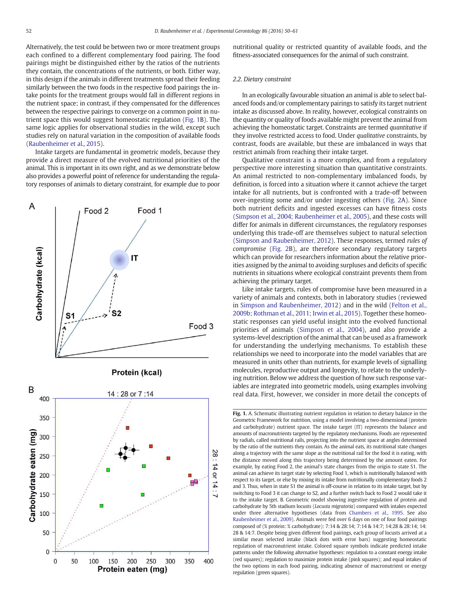Alternatively, the test could be between two or more treatment groups each confined to a different complementary food pairing. The food pairings might be distinguished either by the ratios of the nutrients they contain, the concentrations of the nutrients, or both. Either way, in this design if the animals in different treatments spread their feeding similarly between the two foods in the respective food pairings the intake points for the treatment groups would fall in different regions in the nutrient space; in contrast, if they compensated for the differences between the respective pairings to converge on a common point in nutrient space this would suggest homeostatic regulation (Fig. 1B). The same logic applies for observational studies in the wild, except such studies rely on natural variation in the composition of available foods (Raubenheimer et al., 2015).

Intake targets are fundamental in geometric models, because they provide a direct measure of the evolved nutritional priorities of the animal. This is important in its own right, and as we demonstrate below also provides a powerful point of reference for understanding the regulatory responses of animals to dietary constraint, for example due to poor



nutritional quality or restricted quantity of available foods, and the fitness-associated consequences for the animal of such constraint.

#### *2.2. Dietary constraint*

In an ecologically favourable situation an animal is able to select balanced foods and/or complementary pairings to satisfy its target nutrient intake as discussed above. In reality, however, ecological constraints on the quantity or quality of foods available might prevent the animal from achieving the homeostatic target. Constraints are termed *quantitative* if they involve restricted access to food. Under *qualitative* constraints, by contrast, foods are available, but these are imbalanced in ways that restrict animals from reaching their intake target.

Qualitative constraint is a more complex, and from a regulatory perspective more interesting situation than quantitative constraints. An animal restricted to non-complementary imbalanced foods, by definition, is forced into a situation where it cannot achieve the target intake for all nutrients, but is confronted with a trade-off between over-ingesting some and/or under ingesting others (Fig. 2A). Since both nutrient deficits and ingested excesses can have fitness costs (Simpson et al., 2004; Raubenheimer et al., 2005), and these costs will differ for animals in different circumstances, the regulatory responses underlying this trade-off are themselves subject to natural selection (Simpson and Raubenheimer, 2012). These responses, termed *rules of compromise* (Fig. 2B), are therefore secondary regulatory targets which can provide for researchers information about the relative priorities assigned by the animal to avoiding surpluses and deficits of specific nutrients in situations where ecological constraint prevents them from achieving the primary target.

Like intake targets, rules of compromise have been measured in a variety of animals and contexts, both in laboratory studies (reviewed in Simpson and Raubenheimer, 2012) and in the wild (Felton et al., 2009b; Rothman et al., 2011; Irwin et al., 2015). Together these homeostatic responses can yield useful insight into the evolved functional priorities of animals (Simpson et al., 2004), and also provide a systems-level description of the animal that can be used as a framework for understanding the underlying mechanisms. To establish these relationships we need to incorporate into the model variables that are measured in units other than nutrients, for example levels of signalling molecules, reproductive output and longevity, to relate to the underlying nutrition. Below we address the question of how such response variables are integrated into geometric models, using examples involving real data. First, however, we consider in more detail the concepts of

Fig. 1. A. Schematic illustrating nutrient regulation in relation to dietary balance in the Geometric Framework for nutrition, using a model involving a two-dimensional (protein and carbohydrate) nutrient space. The intake target (IT) represents the balance and amounts of macronutrients targeted by the regulatory mechanisms. Foods are represented by radials, called nutritional rails, projecting into the nutrient space at angles determined by the ratio of the nutrients they contain. As the animal eats, its nutritional state changes along a trajectory with the same slope as the nutritional rail for the food it is eating, with the distance moved along this trajectory being determined by the amount eaten. For example, by eating Food 2, the animal's state changes from the origin to state S1. The animal can achieve its target state by selecting Food 1, which is nutritionally balanced with respect to its target, or else by mixing its intake from nutritionally complementary foods 2 and 3. Thus, when in state S1 the animal is off-course in relation to its intake target, but by switching to Food 3 it can change to S2, and a further switch back to Food 2 would take it to the intake target. B. Geometric model showing ingestive regulation of protein and carbohydrate by 5th stadium locusts (*Locusta migratoria*) compared with intakes expected under three alternative hypotheses (data from Chambers et al., 1995. See also Raubenheimer et al., 2009). Animals were fed over 6 days on one of four food pairings composed of (% protein: % carbohydrate): 7:14 & 28:14; 7:14 & 14:7; 14:28 & 28:14; 14: 28 & 14:7. Despite being given different food pairings, each group of locusts arrived at a similar mean selected intake (black dots with error bars) suggesting homeostatic regulation of macronutrient intake. Colored square symbols indicate predicted intake patterns under the following alternative hypotheses: regulation to a constant energy intake (red squares); regulation to maximize protein intake (pink squares); and equal intakes of the two options in each food pairing, indicating absence of macronutrient or energy regulation (green squares).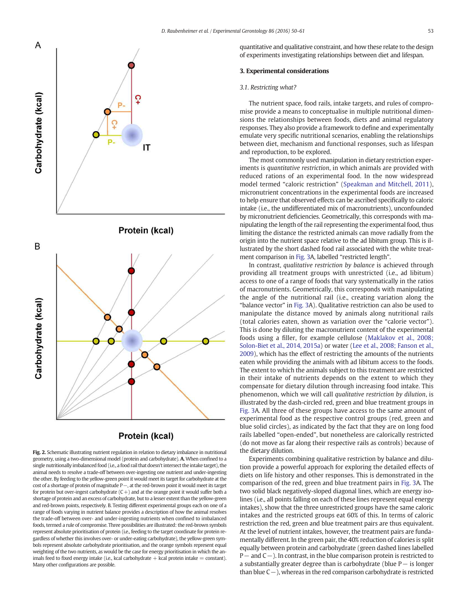



Fig. 2. Schematic illustrating nutrient regulation in relation to dietary imbalance in nutritional geometry, using a two-dimensional model (protein and carbohydrate). A. When confined to a single nutritionally imbalanced food (i.e., a food rail that doesn't intersect the intake target), the animal needs to resolve a trade-off between over-ingesting one nutrient and under-ingesting the other. By feeding to the yellow-green point it would meet its target for carbohydrate at the cost of a shortage of protein of magnitude P−, at the red-brown point it would meet its target for protein but over-ingest carbohydrate  $(C+)$  and at the orange point it would suffer both a shortage of protein and an excess of carbohydrate, but to a lesser extent than the yellow-green and red-brown points, respectively. B. Testing different experimental groups each on one of a range of foods varying in nutrient balance provides a description of how the animal resolves the trade-off between over- and under-ingesting nutrients when confined to imbalanced foods, termed a rule of compromise. Three possibilities are illustrated: the red-brown symbols represent absolute prioritisation of protein (i.e., feeding to the target coordinate for protein regardless of whether this involves over- or under-eating carbohydrate), the yellow-green symbols represent absolute carbohydrate prioritisation, and the orange symbols represent equal weighting of the two nutrients, as would be the case for energy prioritisation in which the animals feed to fixed energy intake (i.e., kcal carbohydrate  $+$  kcal protein intake  $=$  constant). Many other configurations are possible.

quantitative and qualitative constraint, and how these relate to the design of experiments investigating relationships between diet and lifespan.

# 3. Experimental considerations

### *3.1. Restricting what?*

The nutrient space, food rails, intake targets, and rules of compromise provide a means to conceptualise in multiple nutritional dimensions the relationships between foods, diets and animal regulatory responses. They also provide a framework to define and experimentally emulate very specific nutritional scenarios, enabling the relationships between diet, mechanism and functional responses, such as lifespan and reproduction, to be explored.

The most commonly used manipulation in dietary restriction experiments is *quantitative restriction*, in which animals are provided with reduced rations of an experimental food. In the now widespread model termed "caloric restriction" (Speakman and Mitchell, 2011), micronutrient concentrations in the experimental foods are increased to help ensure that observed effects can be ascribed specifically to caloric intake (i.e., the undifferentiated mix of macronutrients), unconfounded by micronutrient deficiencies. Geometrically, this corresponds with manipulating the length of the rail representing the experimental food, thus limiting the distance the restricted animals can move radially from the origin into the nutrient space relative to the ad libitum group. This is illustrated by the short dashed food rail associated with the white treatment comparison in Fig. 3A, labelled "restricted length".

In contrast, *qualitative restriction by balance* is achieved through providing all treatment groups with unrestricted (i.e., ad libitum) access to one of a range of foods that vary systematically in the ratios of macronutrients. Geometrically, this corresponds with manipulating the angle of the nutritional rail (i.e., creating variation along the "balance vector" in Fig. 3A). Qualitative restriction can also be used to manipulate the distance moved by animals along nutritional rails (total calories eaten, shown as variation over the "calorie vector"). This is done by diluting the macronutrient content of the experimental foods using a filler, for example cellulose (Maklakov et al., 2008; Solon-Biet et al., 2014, 2015a) or water (Lee et al., 2008; Fanson et al., 2009), which has the effect of restricting the amounts of the nutrients eaten while providing the animals with ad libitum access to the foods. The extent to which the animals subject to this treatment are restricted in their intake of nutrients depends on the extent to which they compensate for dietary dilution through increasing food intake. This phenomenon, which we will call *qualitative restriction by dilution*, is illustrated by the dash-circled red, green and blue treatment groups in Fig. 3A. All three of these groups have access to the same amount of experimental food as the respective control groups (red, green and blue solid circles), as indicated by the fact that they are on long food rails labelled "open-ended", but nonetheless are calorically restricted (do not move as far along their respective rails as controls) because of the dietary dilution.

Experiments combining qualitative restriction by balance and dilution provide a powerful approach for exploring the detailed effects of diets on life history and other responses. This is demonstrated in the comparison of the red, green and blue treatment pairs in Fig. 3A. The two solid black negatively-sloped diagonal lines, which are energy isolines (i.e., all points falling on each of these lines represent equal energy intakes), show that the three unrestricted groups have the same caloric intakes and the restricted groups eat 60% of this. In terms of caloric restriction the red, green and blue treatment pairs are thus equivalent. At the level of nutrient intakes, however, the treatment pairs are fundamentally different. In the green pair, the 40% reduction of calories is split equally between protein and carbohydrate (green dashed lines labelled P – and C – ). In contrast, in the blue comparison protein is restricted to a substantially greater degree than is carbohydrate (blue P− is longer than blue C−), whereas in the red comparison carbohydrate is restricted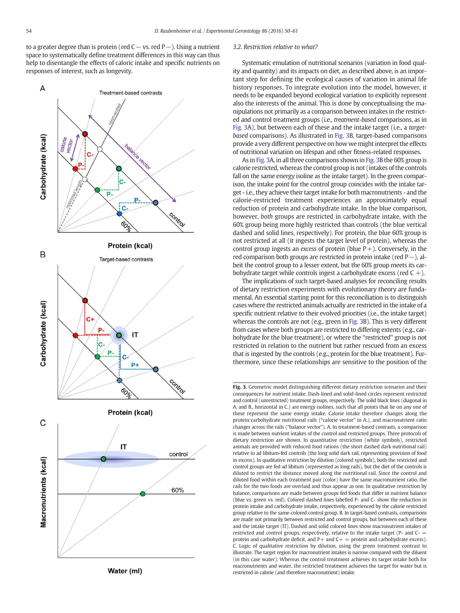to a greater degree than is protein (red C− vs. red P−). Using a nutrient space to systematically define treatment differences in this way can thus help to disentangle the effects of caloric intake and specific nutrients on responses of interest, such as longevity.



# Water (ml)

#### *3.2. Restriction relative to what?*

Systematic emulation of nutritional scenarios (variation in food quality and quantity) and its impacts on diet, as described above, is an important step for defining the ecological causes of variation in animal life history responses. To integrate evolution into the model, however, it needs to be expanded beyond ecological variation to explicitly represent also the interests of the animal. This is done by conceptualising the manipulations not primarily as a comparison between intakes in the restricted and control treatment groups (i.e., *treatment-based* comparisons, as in Fig. 3A), but between each of these and the intake target (i.e., a *targetbased* comparisons). As illustrated in Fig. 3B, target-based comparisons provide a very different perspective on how we might interpret the effects of nutritional variation on lifespan and other fitness-related responses.

As in Fig. 3A, in all three comparisons shown in Fig. 3B the 60% group is calorie restricted, whereas the control group is not (intakes of the controls fall on the same energy isoline as the intake target). In the green comparison, the intake point for the control group coincides with the intake target - i.e., they achieve their target intake for both macronutrients - and the calorie-restricted treatment experiences an approximately equal reduction of protein and carbohydrate intake. In the blue comparison, however, *both* groups are restricted in carbohydrate intake, with the 60% group being more highly restricted than controls (the blue vertical dashed and solid lines, respectively). For protein, the blue 60% group is not restricted at all (it ingests the target level of protein), whereas the control group ingests an *excess* of protein (blue  $P+$ ). Conversely, in the red comparison both groups are restricted in protein intake (red P−), albeit the control group to a lesser extent, but the 60% group meets its carbohydrate target while controls ingest a carbohydrate excess (red  $C +$ ).

The implications of such target-based analyses for reconciling results of dietary restriction experiments with evolutionary theory are fundamental. An essential starting point for this reconciliation is to distinguish cases where the restricted animals actually are restricted in the intake of a specific nutrient relative to their evolved priorities (i.e., the intake target) whereas the controls are not (e.g., green in Fig. 3B). This is very different from cases where both groups are restricted to differing extents (e.g., carbohydrate for the blue treatment), or where the "restricted" group is not restricted in relation to the nutrient but rather rescued from an excess that is ingested by the controls (e.g., protein for the blue treatment). Furthermore, since these relationships are sensitive to the position of the

Fig. 3. Geometric model distinguishing different dietary restriction scenarios and their consequences for nutrient intake. Dash-lined and solid-lined circles represent restricted and control (unrestricted) treatment groups, respectively. The solid black lines (diagonal in A. and B., horizontal in C.) are energy isolines, such that all points that lie on any one of these represent the same energy intake. Calorie intake therefore changes along the protein:carbohydrate nutritional rails ("calorie vector" in A.), and macronutrient ratio changes across the rails ("balance vector"). A. In treatment-based contrasts, a comparison is made between nutrient intakes of the control and restricted groups. Three protocols of dietary restriction are shown. In quantitative restriction (white symbols), restricted animals are provided with reduced food rations (the short dashed dark nutritional rail) relative to ad libitum-fed controls (the long solid dark rail, representing provision of food in excess). In qualitative restriction by dilution (colored symbols), both the restricted and control groups are fed ad libitum (represented as long rails), but the diet of the controls is diluted to restrict the distance moved along the nutritional rail. Since the control and diluted food within each treatment pair (color) have the same macronutrient ratio, the rails for the two foods are overlaid and thus appear as one. In qualitative restriction by balance, comparisons are made between groups fed foods that differ in nutrient balance (blue vs. green vs. red). Colored dashed lines labelled P- and C- show the reduction in protein intake and carbohydrate intake, respectively, experienced by the calorie restricted group relative to the same-colored control group. B. In target-based contrasts, comparisons are made not primarily between restricted and control groups, but between each of these and the intake target (IT). Dashed and solid colored lines show macronutrient intakes of restricted and control groups, respectively, relative to the intake target (P- and C- = protein and carbohydrate deficit, and  $P+$  and  $C+$  = protein and carbohydrate excess). C. Logic of qualitative restriction by dilution, using the green treatment contrast to illustrate. The target region for macronutrient intakes is narrow compared with the diluent (in this case water). Whereas the control treatment achieves its target intake both for macronutrients and water, the restricted treatment achieves the target for water but is restricted in calorie (and therefore macronutrient) intake.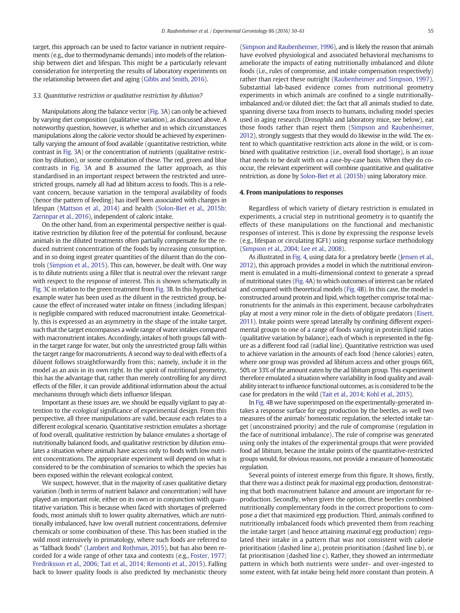target, this approach can be used to factor variance in nutrient requirements (e.g., due to thermodynamic demands) into models of the relationship between diet and lifespan. This might be a particularly relevant consideration for interpreting the results of laboratory experiments on the relationship between diet and aging (Gibbs and Smith, 2016).

#### *3.3. Quantitative restriction or qualitative restriction by dilution?*

Manipulations along the balance vector (Fig. 3A) can only be achieved by varying diet composition (qualitative variation), as discussed above. A noteworthy question, however, is whether and in which circumstances manipulations along the calorie vector should be achieved by experimentally varying the amount of food available (quantitative restriction, white contrast in Fig. 3A) or the concentration of nutrients (qualitative restriction by dilution), or some combination of these. The red, green and blue contrasts in Fig. 3A and B assumed the latter approach, as this standardised in an important respect between the restricted and unrestricted groups, namely all had ad libitum access to foods. This is a relevant concern, because variation in the temporal availability of foods (hence the pattern of feeding) has itself been associated with changes in lifespan (Mattson et al., 2014) and health (Solon-Biet et al., 2015b; Zarrinpar et al., 2016), independent of caloric intake.

On the other hand, from an experimental perspective neither is qualitative restriction by dilution free of the potential for confound, because animals in the diluted treatments often partially compensate for the reduced nutrient concentration of the foods by increasing consumption, and in so doing ingest greater quantities of the diluent than do the controls (Simpson et al., 2015). This can, however, be dealt with. One way is to dilute nutrients using a filler that is neutral over the relevant range with respect to the response of interest. This is shown schematically in Fig. 3C in relation to the green treatment from Fig. 3B. In this hypothetical example water has been used as the diluent in the restricted group, because the effect of increased water intake on fitness (including lifespan) is negligible compared with reduced macronutrient intake. Geometrically, this is expressed as an asymmetry in the shape of the intake target, such that the target encompasses a wide range of water intakes compared with macronutrient intakes. Accordingly, intakes of both groups fall within the target range for water, but only the unrestricted group falls within the target range for macronutrients. A second way to deal with effects of a diluent follows straightforwardly from this; namely, include it in the model as an axis in its own right. In the spirit of nutritional geometry, this has the advantage that, rather than merely controlling for any direct effects of the filler, it can provide additional information about the actual mechanisms through which diets influence lifespan.

Important as these issues are, we should be equally vigilant to pay attention to the *ecological* significance of experimental design. From this perspective, all three manipulations are valid, because each relates to a different ecological scenario. Quantitative restriction emulates a shortage of food overall, qualitative restriction by balance emulates a shortage of nutritionally balanced foods, and qualitative restriction by dilution emulates a situation where animals have access only to foods with low nutrient concentrations. The appropriate experiment will depend on what is considered to be the combination of scenarios to which the species has been exposed within the relevant ecological context.

We suspect, however, that in the majority of cases qualitative dietary variation (both in terms of nutrient balance and concentration) will have played an important role, either on its own or in conjunction with quantitative variation. This is because when faced with shortages of preferred foods, most animals shift to lower quality alternatives, which are nutritionally imbalanced, have low overall nutrient concentrations, defensive chemicals or some combination of these. This has been studied in the wild most intensively in primatology, where such foods are referred to as "fallback foods" (Lambert and Rothman, 2015), but has also been recorded for a wide range of other taxa and contexts (e.g., Foster, 1977; Fredriksson et al., 2006; Tait et al., 2014; Remonti et al., 2015). Falling back to lower quality foods is also predicted by mechanistic theory (Simpson and Raubenheimer, 1996), and is likely the reason that animals have evolved physiological and associated behavioral mechanisms to ameliorate the impacts of eating nutritionally imbalanced and dilute foods (i.e., rules of compromise, and intake compensation respectively) rather than reject these outright (Raubenheimer and Simpson, 1997). Substantial lab-based evidence comes from nutritional geometry experiments in which animals are confined to a single nutritionallyimbalanced and/or diluted diet; the fact that all animals studied to date, spanning diverse taxa from insects to humans, including model species used in aging research (*Drosophila* and laboratory mice, see below), eat those foods rather than reject them (Simpson and Raubenheimer, 2012), strongly suggests that they would do likewise in the wild. The extent to which quantitative restriction acts alone in the wild, or is combined with qualitative restriction (i.e., overall food shortage), is an issue that needs to be dealt with on a case-by-case basis. When they do cooccur, the relevant experiment will combine quantitative and qualitative restriction, as done by Solon-Biet et al. (2015b) using laboratory mice.

### 4. From manipulations to responses

Regardless of which variety of dietary restriction is emulated in experiments, a crucial step in nutritional geometry is to quantify the effects of these manipulations on the functional and mechanistic responses of interest. This is done by expressing the response levels (e.g., lifespan or circulating IGF1) using response surface methodology (Simpson et al., 2004; Lee et al., 2008).

As illustrated in Fig. 4, using data for a predatory beetle (Jensen et al., 2012), this approach provides a model in which the nutritional environment is emulated in a multi-dimensional context to generate a spread of nutritional states (Fig. 4A) to which outcomes of interest can be related and compared with theoretical models (Fig. 4B). In this case, the model is constructed around protein and lipid, which together comprise total macronutrients for the animals in this experiment, because carbohydrates play at most a very minor role in the diets of obligate predators (Eisert, 2011). Intake points were spread laterally by confining different experimental groups to one of a range of foods varying in protein:lipid ratios (qualitative variation by balance), each of which is represented in the figure as a different food rail (radial line). Quantitative restriction was used to achieve variation in the amounts of each food (hence calories) eaten, where one group was provided ad libitum access and other groups 66%, 50% or 33% of the amount eaten by the ad libitum group. This experiment therefore emulated a situation where variability in food quality and availability interact to influence functional outcomes, as is considered to be the case for predators in the wild (Tait et al., 2014; Kohl et al., 2015).

In Fig. 4B we have superimposed on the experimentally-generated intakes a response surface for egg production by the beetles, as well two measures of the animals' homeostatic regulation, the selected intake target (unconstrained priority) and the rule of compromise (regulation in the face of nutritional imbalance). The rule of comprise was generated using only the intakes of the experimental groups that were provided food ad libitum, because the intake points of the quantitative-restricted groups would, for obvious reasons, not provide a measure of homeostatic regulation.

Several points of interest emerge from this figure. It shows, firstly, that there was a distinct peak for maximal egg production, demonstrating that both macronutrient balance and amount are important for reproduction. Secondly, when given the option, these beetles combined nutritionally complementary foods in the correct proportions to compose a diet that maximized egg production. Third, animals confined to nutritionally imbalanced foods which prevented them from reaching the intake target (and hence attaining maximal egg production) regulated their intake in a pattern that was not consistent with calorie prioritisation (dashed line a), protein prioritisation (dashed line b), or fat prioritisation (dashed line c). Rather, they showed an intermediate pattern in which both nutrients were under- and over-ingested to some extent, with fat intake being held more constant than protein. A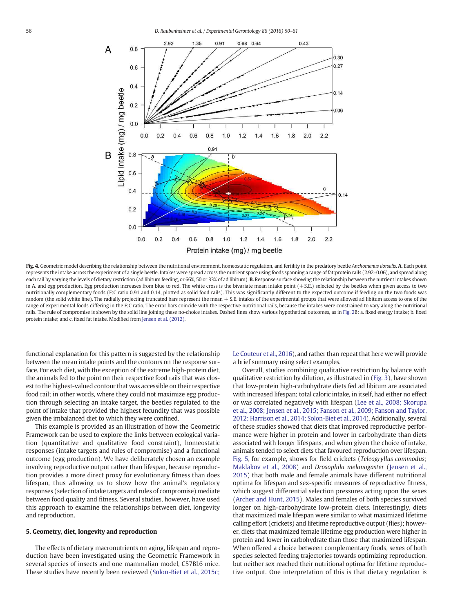



Fig. 4. Geometric model describing the relationship between the nutritional environment, homeostatic regulation, and fertility in the predatory beetle *Anchomenus dorsalis*. A. Each point represents the intake across the experiment of a single beetle. Intakes were spread across the nutrient space using foods spanning a range of fat:protein rails (2.92–0.06), and spread along each rail by varying the levels of dietary restriction (ad libitum feeding, or 66%, 50 or 33% of ad libitum). B. Response surface showing the relationship between the nutrient intakes shown in A. and egg production. Egg production increases from blue to red. The white cross is the bivariate mean intake point  $(\pm S.E.)$  selected by the beetles when given access to two nutritionally complementary foods (F:C ratio 0.91 and 0.14, plotted as solid food rails). This was significantly different to the expected outcome if feeding on the two foods was random (the solid white line). The radially projecting truncated bars represent the mean  $\pm$  S.E. intakes of the experimental groups that were allowed ad libitum access to one of the range of experimental foods differing in the F:C ratio. The error bars coincide with the respective nutritional rails, because the intakes were constrained to vary along the nutritional rails. The rule of compromise is shown by the solid line joining these no-choice intakes. Dashed lines show various hypothetical outcomes, as in Fig. 2B: a. fixed energy intake; b. fixed protein intake; and c. fixed fat intake. Modified from Jensen et al. (2012).

functional explanation for this pattern is suggested by the relationship between the mean intake points and the contours on the response surface. For each diet, with the exception of the extreme high-protein diet, the animals fed to the point on their respective food rails that was closest to the highest-valued contour that was accessible on their respective food rail; in other words, where they could not maximize egg production through selecting an intake target, the beetles regulated to the point of intake that provided the highest fecundity that was possible given the imbalanced diet to which they were confined.

This example is provided as an illustration of how the Geometric Framework can be used to explore the links between ecological variation (quantitative and qualitative food constraint), homeostatic responses (intake targets and rules of compromise) and a functional outcome (egg production). We have deliberately chosen an example involving reproductive output rather than lifespan, because reproduction provides a more direct proxy for evolutionary fitness than does lifespan, thus allowing us to show how the animal's regulatory responses (selection of intake targets and rules of compromise) mediate between food quality and fitness. Several studies, however, have used this approach to examine the relationships between diet, longevity and reproduction.

#### 5. Geometry, diet, longevity and reproduction

The effects of dietary macronutrients on aging, lifespan and reproduction have been investigated using the Geometric Framework in several species of insects and one mammalian model, C57BL6 mice. These studies have recently been reviewed (Solon-Biet et al., 2015c; Le Couteur et al., 2016), and rather than repeat that here we will provide a brief summary using select examples.

Overall, studies combining qualitative restriction by balance with qualitative restriction by dilution, as illustrated in (Fig. 3), have shown that low-protein high-carbohydrate diets fed ad libitum are associated with increased lifespan; total caloric intake, in itself, had either no effect or was correlated negatively with lifespan (Lee et al., 2008; Skorupa et al., 2008; Jensen et al., 2015; Fanson et al., 2009; Fanson and Taylor, 2012; Harrison et al., 2014; Solon-Biet et al., 2014). Additionally, several of these studies showed that diets that improved reproductive performance were higher in protein and lower in carbohydrate than diets associated with longer lifespans, and when given the choice of intake, animals tended to select diets that favoured reproduction over lifespan. Fig. 5, for example, shows for field crickets (*Teleogryllus commodus*; Maklakov et al., 2008) and *Drosophila melanogaster* (Jensen et al., 2015) that both male and female animals have different nutritional optima for lifespan and sex-specific measures of reproductive fitness, which suggest differential selection pressures acting upon the sexes (Archer and Hunt, 2015). Males and females of both species survived longer on high-carbohydrate low-protein diets. Interestingly, diets that maximized male lifespan were similar to what maximized lifetime calling effort (crickets) and lifetime reproductive output (flies); however, diets that maximized female lifetime egg production were higher in protein and lower in carbohydrate than those that maximized lifespan. When offered a choice between complementary foods, sexes of both species selected feeding trajectories towards optimizing reproduction, but neither sex reached their nutritional optima for lifetime reproductive output. One interpretation of this is that dietary regulation is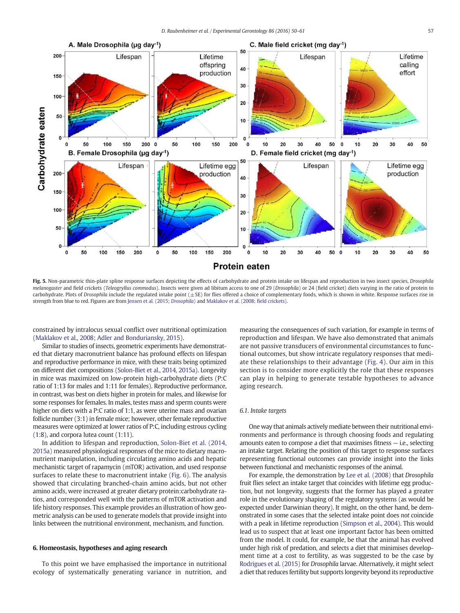

Fig. 5. Non-parametric thin-plate spline response surfaces depicting the effects of carbohydrate and protein intake on lifespan and reproduction in two insect species, *Drosophila melanogaster* and field crickets (*Teleogryllus commodus*). Insects were given ad libitum access to one of 29 (*Drosophila*) or 24 (field cricket) diets varying in the ratio of protein to carbohydrate. Plots of *Drosophila* include the regulated intake point ( $\pm$ SE) for flies offered a choice of complementary foods, which is shown in white. Response surfaces rise in strength from blue to red. Figures are from Jensen et al. (2015; *Drosophila*) and Maklakov et al. (2008; field crickets).

constrained by intralocus sexual conflict over nutritional optimization (Maklakov et al., 2008; Adler and Bonduriansky, 2015).

Similar to studies of insects, geometric experiments have demonstrated that dietary macronutrient balance has profound effects on lifespan and reproductive performance in mice, with these traits being optimized on different diet compositions (Solon-Biet et al., 2014, 2015a). Longevity in mice was maximized on low-protein high-carbohydrate diets (P:C ratio of 1:13 for males and 1:11 for females). Reproductive performance, in contrast, was best on diets higher in protein for males, and likewise for some responses for females. In males, testes mass and sperm counts were higher on diets with a P:C ratio of 1:1, as were uterine mass and ovarian follicle number (3:1) in female mice; however, other female reproductive measures were optimized at lower ratios of P:C, including estrous cycling (1:8), and corpora lutea count (1:11).

In addition to lifespan and reproduction, Solon-Biet et al. (2014, 2015a) measured physiological responses of the mice to dietary macronutrient manipulation, including circulating amino acids and hepatic mechanistic target of rapamycin (mTOR) activation, and used response surfaces to relate these to macronutrient intake (Fig. 6). The analysis showed that circulating branched-chain amino acids, but not other amino acids, were increased at greater dietary protein:carbohydrate ratios, and corresponded well with the patterns of mTOR activation and life history responses. This example provides an illustration of how geometric analysis can be used to generate models that provide insight into links between the nutritional environment, mechanism, and function.

# 6. Homeostasis, hypotheses and aging research

To this point we have emphasised the importance in nutritional ecology of systematically generating variance in nutrition, and measuring the consequences of such variation, for example in terms of reproduction and lifespan. We have also demonstrated that animals are not passive transducers of environmental circumstances to functional outcomes, but show intricate regulatory responses that mediate these relationships to their advantage (Fig. 4). Our aim in this section is to consider more explicitly the role that these responses can play in helping to generate testable hypotheses to advance aging research.

# *6.1. Intake targets*

One way that animals actively mediate between their nutritional environments and performance is through choosing foods and regulating amounts eaten to compose a diet that maximises fitness — i.e., selecting an intake target. Relating the position of this target to response surfaces representing functional outcomes can provide insight into the links between functional and mechanistic responses of the animal.

For example, the demonstration by Lee et al. (2008) that *Drosophila* fruit flies select an intake target that coincides with lifetime egg production, but not longevity, suggests that the former has played a greater role in the evolutionary shaping of the regulatory systems (as would be expected under Darwinian theory). It might, on the other hand, be demonstrated in some cases that the selected intake point does *not* coincide with a peak in lifetime reproduction (Simpson et al., 2004). This would lead us to suspect that at least one important factor has been omitted from the model. It could, for example, be that the animal has evolved under high risk of predation, and selects a diet that minimises development time at a cost to fertility, as was suggested to be the case by Rodrigues et al. (2015) for *Drosophila* larvae. Alternatively, it might select a diet that reduces fertility but supports longevity beyond its reproductive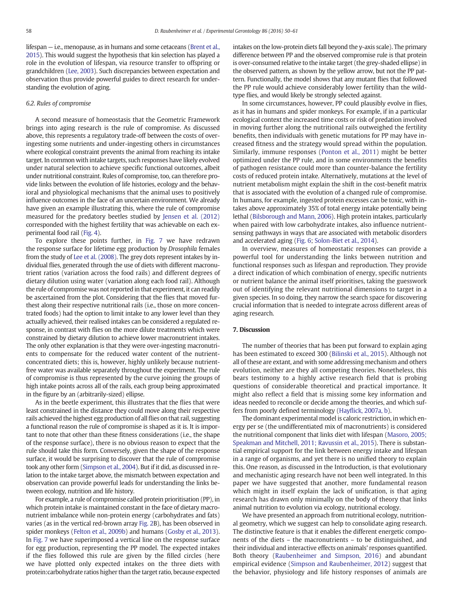lifespan — i.e., menopause, as in humans and some cetaceans (Brent et al., 2015). This would suggest the hypothesis that kin selection has played a role in the evolution of lifespan, via resource transfer to offspring or grandchildren (Lee, 2003). Such discrepancies between expectation and observation thus provide powerful guides to direct research for understanding the evolution of aging.

# *6.2. Rules of compromise*

A second measure of homeostasis that the Geometric Framework brings into aging research is the rule of compromise. As discussed above, this represents a regulatory trade-off between the costs of overingesting some nutrients and under-ingesting others in circumstances where ecological constraint prevents the animal from reaching its intake target. In common with intake targets, such responses have likely evolved under natural selection to achieve specific functional outcomes, albeit under nutritional constraint. Rules of compromise, too, can therefore provide links between the evolution of life histories, ecology and the behavioral and physiological mechanisms that the animal uses to positively influence outcomes in the face of an uncertain environment. We already have given an example illustrating this, where the rule of compromise measured for the predatory beetles studied by Jensen et al. (2012) corresponded with the highest fertility that was achievable on each experimental food rail (Fig. 4).

To explore these points further, in Fig. 7 we have redrawn the response surface for lifetime egg production by *Drosophila* females from the study of Lee et al. (2008). The grey dots represent intakes by individual flies, generated through the use of diets with different macronutrient ratios (variation across the food rails) and different degrees of dietary dilution using water (variation along each food rail). Although the rule of compromise was not reported in that experiment, it can readily be ascertained from the plot. Considering that the flies that moved furthest along their respective nutritional rails (i.e., those on more concentrated foods) had the option to limit intake to any lower level than they actually achieved, their realised intakes can be considered a regulated response, in contrast with flies on the more dilute treatments which were constrained by dietary dilution to achieve lower macronutrient intakes. The only other explanation is that they were over-ingesting macronutrients to compensate for the reduced water content of the nutrientconcentrated diets; this is, however, highly unlikely because nutrientfree water was available separately throughout the experiment. The rule of compromise is thus represented by the curve joining the groups of high intake points across all of the rails, each group being approximated in the figure by an (arbitrarily-sized) ellipse.

As in the beetle experiment, this illustrates that the flies that were least constrained in the distance they could move along their respective rails achieved the highest egg production of all flies on that rail, suggesting a functional reason the rule of compromise is shaped as it is. It is important to note that other than these fitness considerations (i.e., the shape of the response surface), there is no obvious reason to expect that the rule should take this form. Conversely, given the shape of the response surface, it would be surprising to discover that the rule of compromise took any other form (Simpson et al., 2004). But if it did, as discussed in relation to the intake target above, the mismatch between expectation and observation can provide powerful leads for understanding the links between ecology, nutrition and life history.

For example, a rule of compromise called protein prioritisation (PP), in which protein intake is maintained constant in the face of dietary macronutrient imbalance while non-protein energy (carbohydrates and fats) varies (as in the vertical red-brown array Fig. 2B), has been observed in spider monkeys (Felton et al., 2009b) and humans (Gosby et al., 2013). In Fig. 7 we have superimposed a vertical line on the response surface for egg production, representing the PP model. The expected intakes if the flies followed this rule are given by the filled circles (here we have plotted only expected intakes on the three diets with protein:carbohydrate ratios higher than the target ratio, because expected intakes on the low-protein diets fall beyond the y-axis scale). The primary difference between PP and the observed compromise rule is that protein is over-consumed relative to the intake target (the grey-shaded ellipse) in the observed pattern, as shown by the yellow arrow, but not the PP pattern. Functionally, the model shows that any mutant flies that followed the PP rule would achieve considerably lower fertility than the wildtype flies, and would likely be strongly selected against.

In some circumstances, however, PP could plausibly evolve in flies, as it has in humans and spider monkeys. For example, if in a particular ecological context the increased time costs or risk of predation involved in moving further along the nutritional rails outweighed the fertility benefits, then individuals with genetic mutations for PP may have increased fitness and the strategy would spread within the population. Similarly, immune responses (Ponton et al., 2011) might be better optimized under the PP rule, and in some environments the benefits of pathogen resistance could more than counter-balance the fertility costs of reduced protein intake. Alternatively, mutations at the level of nutrient metabolism might explain the shift in the cost-benefit matrix that is associated with the evolution of a changed rule of compromise. In humans, for example, ingested protein excesses can be toxic, with intakes above approximately 35% of total energy intake potentially being lethal (Bilsborough and Mann, 2006). High protein intakes, particularly when paired with low carbohydrate intakes, also influence nutrientsensing pathways in ways that are associated with metabolic disorders and accelerated aging (Fig. 6; Solon-Biet et al., 2014).

In overview, measures of homeostatic responses can provide a powerful tool for understanding the links between nutrition and functional responses such as lifespan and reproduction. They provide a direct indication of which combination of energy, specific nutrients or nutrient balance the animal itself prioritises, taking the guesswork out of identifying the relevant nutritional dimensions to target in a given species. In so doing, they narrow the search space for discovering crucial information that is needed to integrate across different areas of aging research.

# 7. Discussion

The number of theories that has been put forward to explain aging has been estimated to exceed 300 (Bilinski et al., 2015). Although not all of these are extant, and with some addressing mechanism and others evolution, neither are they all competing theories. Nonetheless, this bears testimony to a highly active research field that is probing questions of considerable theoretical and practical importance. It might also reflect a field that is missing some key information and ideas needed to reconcile or decide among the theories, and which suffers from poorly defined terminology (Hayflick, 2007a, b).

The dominant experimental model is caloric restriction, in which energy per se (the undifferentiated mix of macronutrients) is considered the nutritional component that links diet with lifespan (Masoro, 2005; Speakman and Mitchell, 2011; Ravussin et al., 2015). There is substantial empirical support for the link between energy intake and lifespan in a range of organisms, and yet there is no unified theory to explain this. One reason, as discussed in the Introduction, is that evolutionary and mechanistic aging research have not been well integrated. In this paper we have suggested that another, more fundamental reason which might in itself explain the lack of unification, is that aging research has drawn only minimally on the body of theory that links animal nutrition to evolution via ecology, nutritional ecology.

We have presented an approach from nutritional ecology, nutritional geometry, which we suggest can help to consolidate aging research. The distinctive feature is that it enables the different energetic components of the diets – the macronutrients – to be distinguished, and their individual and interactive effects on animals' responses quantified. Both theory (Raubenheimer and Simpson, 2016) and abundant empirical evidence (Simpson and Raubenheimer, 2012) suggest that the behavior, physiology and life history responses of animals are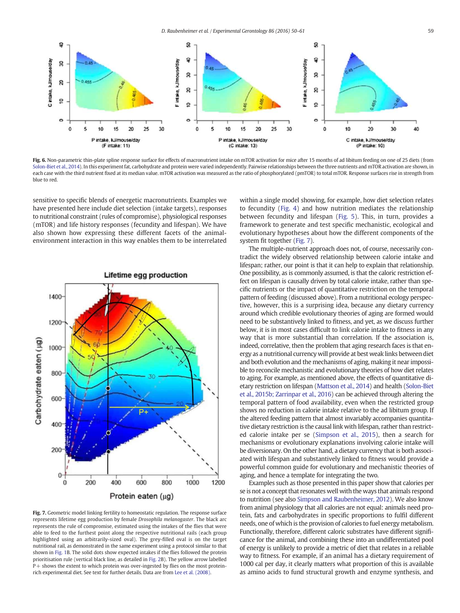

Fig. 6. Non-parametric thin-plate spline response surface for effects of macronutrient intake on mTOR activation for mice after 15 months of ad libitum feeding on one of 25 diets (from Solon-Biet et al., 2014). In this experiment fat, carbohydrate and protein were varied independently. Pairwise relationships between the three nutrients and mTOR activation are shown, in each case with the third nutrient fixed at its median value. mTOR activation was measured as the ratio of phosphorylated (pmTOR) to total mTOR. Response surfaces rise in strength from blue to red.

sensitive to specific blends of energetic macronutrients. Examples we have presented here include diet selection (intake targets), responses to nutritional constraint (rules of compromise), physiological responses (mTOR) and life history responses (fecundity and lifespan). We have also shown how expressing these different facets of the animalenvironment interaction in this way enables them to be interrelated



Fig. 7. Geometric model linking fertility to homeostatic regulation. The response surface represents lifetime egg production by female *Drosophila melanogaster*. The black arc represents the rule of compromise, estimated using the intakes of the flies that were able to feed to the furthest point along the respective nutritional rails (each group highlighted using an arbitrarily-sized oval). The grey-filled oval is on the target nutritional rail, as demonstrated in the same experiment using a protocol similar to that shown in Fig. 1B. The solid dots show expected intakes if the flies followed the protein prioritisation rule (vertical black line, as detailed in Fig. 2B). The yellow arrow labelled P+ shows the extent to which protein was over-ingested by flies on the most proteinrich experimental diet. See text for further details. Data are from Lee et al. (2008).

within a single model showing, for example, how diet selection relates to fecundity (Fig. 4) and how nutrition mediates the relationship between fecundity and lifespan (Fig. 5). This, in turn, provides a framework to generate and test specific mechanistic, ecological and evolutionary hypotheses about how the different components of the system fit together (Fig. 7).

The multiple-nutrient approach does not, of course, necessarily contradict the widely observed relationship between calorie intake and lifespan; rather, our point is that it can help to explain that relationship. One possibility, as is commonly assumed, is that the caloric restriction effect on lifespan is causally driven by total calorie intake, rather than specific nutrients or the impact of quantitative restriction on the temporal pattern of feeding (discussed above). From a nutritional ecology perspective, however, this is a surprising idea, because any dietary currency around which credible evolutionary theories of aging are formed would need to be substantively linked to fitness, and yet, as we discuss further below, it is in most cases difficult to link calorie intake to fitness in any way that is more substantial than correlation. If the association is, indeed, correlative, then the problem that aging research faces is that energy as a nutritional currency will provide at best weak links between diet and both evolution and the mechanisms of aging, making it near impossible to reconcile mechanistic and evolutionary theories of how diet relates to aging. For example, as mentioned above, the effects of quantitative dietary restriction on lifespan (Mattson et al., 2014) and health (Solon-Biet et al., 2015b; Zarrinpar et al., 2016) can be achieved through altering the temporal pattern of food availability, even when the restricted group shows no reduction in calorie intake relative to the ad libitum group. If the altered feeding pattern that almost invariably accompanies quantitative dietary restriction is the causal link with lifespan, rather than restricted calorie intake per se (Simpson et al., 2015), then a search for mechanisms or evolutionary explanations involving calorie intake will be diversionary. On the other hand, a dietary currency that is both associated with lifespan and substantively linked to fitness would provide a powerful common guide for evolutionary and mechanistic theories of aging, and hence a template for integrating the two.

Examples such as those presented in this paper show that calories per se is not a concept that resonates well with the ways that animals respond to nutrition (see also Simpson and Raubenheimer, 2012). We also know from animal physiology that all calories are not equal: animals need protein, fats and carbohydrates in specific proportions to fulfil different needs, one of which is the provision of calories to fuel energy metabolism. Functionally, therefore, different caloric substrates have different significance for the animal, and combining these into an undifferentiated pool of energy is unlikely to provide a metric of diet that relates in a reliable way to fitness. For example, if an animal has a dietary requirement of 1000 cal per day, it clearly matters what proportion of this is available as amino acids to fund structural growth and enzyme synthesis, and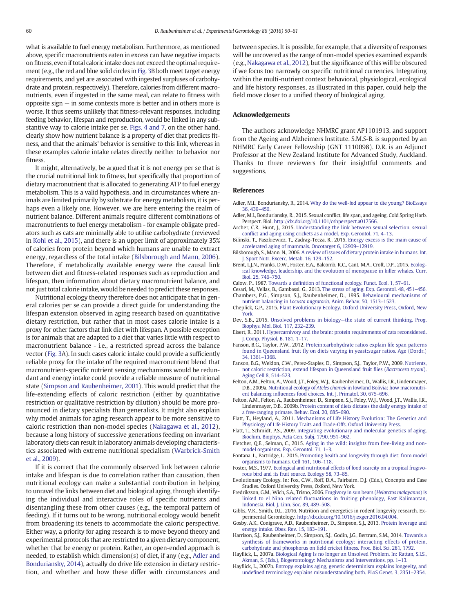what is available to fuel energy metabolism. Furthermore, as mentioned above, specific macronutrients eaten in excess can have negative impacts on fitness, even if total caloric intake does not exceed the optimal requirement (e.g., the red and blue solid circles in Fig. 3B both meet target energy requirements, and yet are associated with ingested surpluses of carbohydrate and protein, respectively). Therefore, calories from different macronutrients, even if ingested in the same meal, can relate to fitness with opposite sign — in some contexts more is better and in others more is worse. It thus seems unlikely that fitness-relevant responses, including feeding behavior, lifespan and reproduction, would be linked in any substantive way to calorie intake per se. Figs. 4 and 7, on the other hand, clearly show how nutrient balance is a property of diet that predicts fitness, and that the animals' behavior is sensitive to this link, whereas in these examples calorie intake relates directly neither to behavior nor fitness.

It might, alternatively, be argued that it is not energy per se that is the crucial nutritional link to fitness, but specifically that proportion of dietary macronutrient that is allocated to generating ATP to fuel energy metabolism. This is a valid hypothesis, and in circumstances where animals are limited primarily by substrate for energy metabolism, it is perhaps even a likely one. However, we are here entering the realm of nutrient balance. Different animals require different combinations of macronutrients to fuel energy metabolism - for example obligate predators such as cats are minimally able to utilise carbohydrate (reviewed in Kohl et al., 2015), and there is an upper limit of approximately 35% of calories from protein beyond which humans are unable to extract energy, regardless of the total intake (Bilsborough and Mann, 2006). Therefore, if metabolically available energy were the causal link between diet and fitness-related responses such as reproduction and lifespan, then information about dietary macronutrient balance, and not just total calorie intake, would be needed to predict these responses.

Nutritional ecology theory therefore does not anticipate that in general calories per se can provide a direct guide for understanding the lifespan extension observed in aging research based on quantitative dietary restriction, but rather that in most cases calorie intake is a proxy for other factors that link diet with lifespan. A possible exception is for animals that are adapted to a diet that varies little with respect to macronutrient balance ‐ i.e., a restricted spread across the balance vector (Fig. 3A). In such cases caloric intake could provide a sufficiently reliable proxy for the intake of the required macronutrient blend that macronutrient-specific nutrient sensing mechanisms would be redundant and energy intake could provide a reliable measure of nutritional state (Simpson and Raubenheimer, 2001). This would predict that the life-extending effects of caloric restriction (either by quantitative restriction or qualitative restriction by dilution) should be more pronounced in dietary specialists than generalists. It might also explain why model animals for aging research appear to be more sensitive to caloric restriction than non-model species (Nakagawa et al., 2012), because a long history of successive generations feeding on invariant laboratory diets can result in laboratory animals developing characteristics associated with extreme nutritional specialism (Warbrick-Smith et al., 2009).

If it is correct that the commonly observed link between calorie intake and lifespan is due to correlation rather than causation, then nutritional ecology can make a substantial contribution in helping to unravel the links between diet and biological aging, through identifying the individual and interactive roles of specific nutrients and disentangling these from other causes (e.g., the temporal pattern of feeding). If it turns out to be wrong, nutritional ecology would benefit from broadening its tenets to accommodate the caloric perspective. Either way, a priority for aging research is to move beyond theory and experimental protocols that are restricted to a given dietary component, whether that be energy or protein. Rather, an open-ended approach is needed, to establish which dimension(s) of diet, if any (e.g., Adler and Bonduriansky, 2014), actually do drive life extension in dietary restriction, and whether and how these differ with circumstances and

between species. It is possible, for example, that a diversity of responses will be uncovered as the range of non-model species examined expands (e.g., Nakagawa et al., 2012), but the significance of this will be obscured if we focus too narrowly on specific nutritional currencies. Integrating within the multi-nutrient context behavioral, physiological, ecological and life history responses, as illustrated in this paper, could help the field move closer to a unified theory of biological aging.

#### Acknowledgements

The authors acknowledge NHMRC grant AP1101913, and support from the Ageing and Alzheimers Institute. S.M.*S*-B. is supported by an NHMRC Early Career Fellowship (GNT 1110098). D.R. is an Adjunct Professor at the New Zealand Institute for Advanced Study, Auckland. Thanks to three reviewers for their insightful comments and suggestions.

# References

- Adler, M.I., Bonduriansky, R., 2014. Why do the well-fed appear to die young? BioEssays 36, 439–450.
- Adler, M.I., Bonduriansky, R., 2015. Sexual conflict, life span, and ageing. Cold Spring Harb. Perspect. Biol. http://dx.doi.org/10.1101/cshperspect.a017566.
- Archer, C.R., Hunt, J., 2015. Understanding the link between sexual selection, sexual conflict and aging using crickets as a model. Exp. Gerontol. 71, 4–13.
- Bilinski, T., Paszkiewicz, T., Zadrag-Tecza, R., 2015. Energy excess is the main cause of accelerated aging of mammals. Oncotarget 6, 12909–12919.
- Bilsborough, S., Mann, N., 2006. A review of issues of dietary protein intake in humans. Int. J. Sport Nutr. Excerc. Metab. 16, 129–152.
- Brent, L.J.N., Franks, D.W., Foster, E.A., Balcomb, K.C., Cant, M.A., Croft, D.P., 2015. Ecological knowledge, leadership, and the evolution of menopause in killer whales. Curr. Biol. 25, 746–750.
- Calow, P., 1987. Towards a definition of functional ecology. Funct. Ecol. 1, 57–61.
- Cesari, M., Vellas, B., Gambassi, G., 2013. The stress of aging. Exp. Gerontol. 48, 451–456. Chambers, P.G., Simpson, S.J., Raubenheimer, D., 1995. Behavioural mechanisms of nutrient balancing in *Locusta migratoria*. Anim. Behav. 50, 1513–1523.
- Cheplick, G.P., 2015. Plant Evolutionary Ecology. Oxford University Press, Oxford, New York.
- Dev, S.B., 2015. Unsolved problems in biology—the state of current thinking. Prog. Biophys. Mol. Biol. 117, 232–239.
- Eisert, R., 2011. Hypercarnivory and the brain: protein requirements of cats reconsidered. J. Comp. Physiol. B. 181, 1–17.
- Fanson, B.G., Taylor, P.W., 2012. Protein:carbohydrate ratios explain life span patterns found in Queensland fruit fly on diets varying in yeast:sugar ratios. Age (Dordr.) 34, 1361–1368.
- Fanson, B.G., Weldon, C.W., Perez-Staples, D., Simpson, S.J., Taylor, P.W., 2009. Nutrients, not caloric restriction, extend lifespan in Queensland fruit flies (*Bactrocera tryoni*). Aging Cell 8, 514–523.
- Felton, A.M., Felton, A., Wood, J.T., Foley, W.J., Raubenheimer, D., Wallis, I.R., Lindenmayer, D.B., 2009a. Nutritional ecology of *Ateles chamek* in lowland Bolivia: how macronutrient balancing influences food choices. Int. J. Primatol. 30, 675–696.
- Felton, A.M., Felton, A., Raubenheimer, D., Simpson, S.J., Foley, W.J., Wood, J.T., Wallis, I.R., Lindenmayer, D.B., 2009b. Protein content of diets dictates the daily energy intake of a free-ranging primate. Behav. Ecol. 20, 685–690.
- Flatt, T., Heyland, A., 2011. Mechanisms of Life History Evolution: The Genetics and Physiology of Life History Traits and Trade-Offs. Oxford University Press.
- Flatt, T., Schmidt, P.S., 2009. Integrating evolutionary and molecular genetics of aging. Biochim. Biophys. Acta Gen. Subj. 1790, 951–962.
- Fletcher, Q.E., Selman, C., 2015. Aging in the wild: insights from free-living and nonmodel organisms. Exp. Gerontol. 71, 1–3.
- Fontana, L., Partridge, L., 2015. Promoting health and longevity through diet: from model organisms to humans. Cell 161, 106–118.
- Foster, M.S., 1977. Ecological and nutritional effects of food scarcity on a tropical frugivorous bird and its fruit source. Ecology 58, 73–85.
- Evolutionary Ecology. In: Fox, C.W., Roff, D.A., Fairbairn, D.J. (Eds.), Concepts and Case Studies. Oxford University Press, Oxford, New York.
- Fredriksson, G.M., Wich, S.A., Trisno, 2006. Frugivory in sun bears (*Helarctos malayanus*) is linked to el Nino related fluctuations in fruiting phenology, East Kalimantan, Indonesia. Biol. J. Linn. Soc. 89, 489–508.
- Gibbs, V.K., Smith, D.L., 2016. Nutrition and energetics in rodent longevity research. Experimental Gerontology. http://dx.doi.org/10.1016/j.exger.2016.04.004.
- Gosby, A.K., Conigrave, A.D., Raubenheimer, D., Simpson, S.J., 2013. Protein leverage and energy intake. Obes. Rev. 15, 183–191.
- Harrison, S.J., Raubenheimer, D., Simpson, S.J., Godin, J.G., Bertram, S.M., 2014. Towards a synthesis of frameworks in nutritional ecology: interacting effects of protein, carbohydrate and phosphorus on field cricket fitness. Proc. Biol. Sci. 281, 1792.
- Hayflick, L., 2007a. Biological Aging Is no longer an Unsolved Problem. In: Rattan, S.I.S., Akman, S. (Eds.), Biogerontology: Mechanisms and Interventions, pp. 1–13.
- Hayflick, L., 2007b. Entropy explains aging, genetic determinism explains longevity, and undefined terminology explains misunderstanding both. PLoS Genet. 3, 2351–2354.